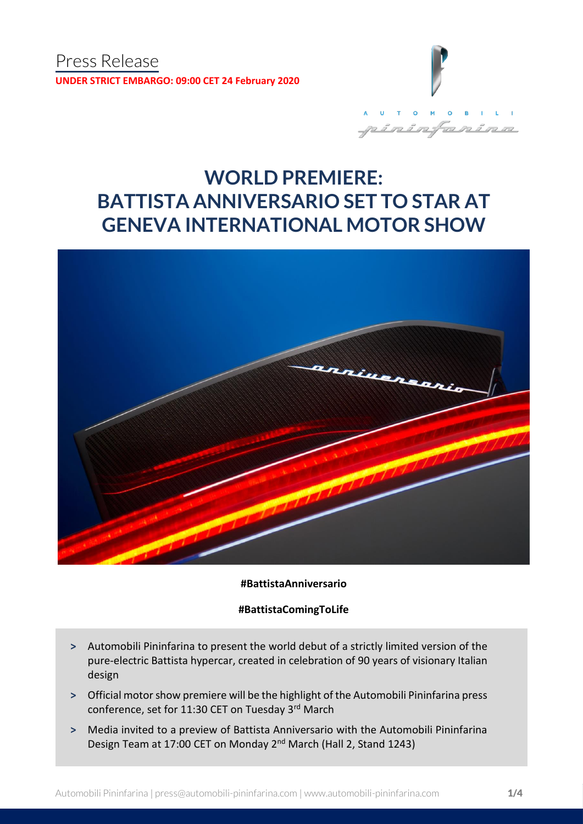

# **WORLD PREMIERE: BATTISTA ANNIVERSARIO SET TO STAR AT GENEVA INTERNATIONAL MOTOR SHOW**



**#BattistaAnniversario**

**#BattistaComingToLife**

- **˃** Automobili Pininfarina to present the world debut of a strictly limited version of the pure-electric Battista hypercar, created in celebration of 90 years of visionary Italian design
- **˃** Official motor show premiere will be the highlight of the Automobili Pininfarina press conference, set for 11:30 CET on Tuesday 3rd March
- **˃** Media invited to a preview of Battista Anniversario with the Automobili Pininfarina Design Team at 17:00 CET on Monday 2nd March (Hall 2, Stand 1243)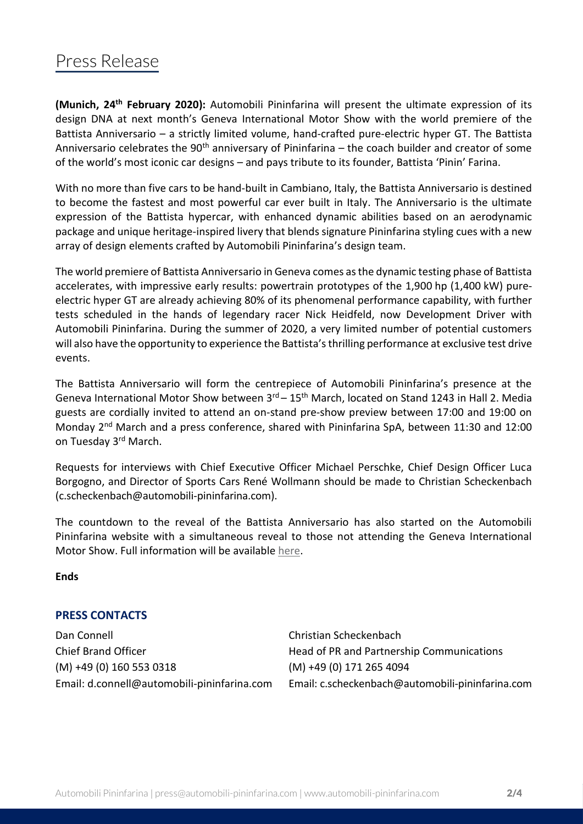## Press Release

**(Munich, 24 th February 2020):** Automobili Pininfarina will present the ultimate expression of its design DNA at next month's Geneva International Motor Show with the world premiere of the Battista Anniversario – a strictly limited volume, hand-crafted pure-electric hyper GT. The Battista Anniversario celebrates the 90<sup>th</sup> anniversary of Pininfarina – the coach builder and creator of some of the world's most iconic car designs – and pays tribute to its founder, Battista 'Pinin' Farina.

With no more than five cars to be hand-built in Cambiano, Italy, the Battista Anniversario is destined to become the fastest and most powerful car ever built in Italy. The Anniversario is the ultimate expression of the Battista hypercar, with enhanced dynamic abilities based on an aerodynamic package and unique heritage-inspired livery that blends signature Pininfarina styling cues with a new array of design elements crafted by Automobili Pininfarina's design team.

The world premiere of Battista Anniversario in Geneva comes as the dynamic testing phase of Battista accelerates, with impressive early results: powertrain prototypes of the 1,900 hp (1,400 kW) pureelectric hyper GT are already achieving 80% of its phenomenal performance capability, with further tests scheduled in the hands of legendary racer Nick Heidfeld, now Development Driver with Automobili Pininfarina. During the summer of 2020, a very limited number of potential customers will also have the opportunity to experience the Battista's thrilling performance at exclusive test drive events.

The Battista Anniversario will form the centrepiece of Automobili Pininfarina's presence at the Geneva International Motor Show between  $3^{rd}$  –  $15^{th}$  March, located on Stand 1243 in Hall 2. Media guests are cordially invited to attend an on-stand pre-show preview between 17:00 and 19:00 on Monday 2<sup>nd</sup> March and a press conference, shared with Pininfarina SpA, between 11:30 and 12:00 on Tuesday 3<sup>rd</sup> March.

Requests for interviews with Chief Executive Officer Michael Perschke, Chief Design Officer Luca Borgogno, and Director of Sports Cars René Wollmann should be made to Christian Scheckenbach (c.scheckenbach@automobili-pininfarina.com).

The countdown to the reveal of the Battista Anniversario has also started on the Automobili Pininfarina website with a simultaneous reveal to those not attending the Geneva International Motor Show. Full information will be available [here.](https://automobili-pininfarina.com/an-electrifying-premiere/)

**Ends**

### **PRESS CONTACTS**

Dan Connell Christian Scheckenbach Chief Brand Officer **Head of PR and Partnership Communications** (M) +49 (0) 160 553 0318 (M) +49 (0) 171 265 4094

Email: d.connell@automobili-pininfarina.com Email: c.scheckenbach@automobili-pininfarina.com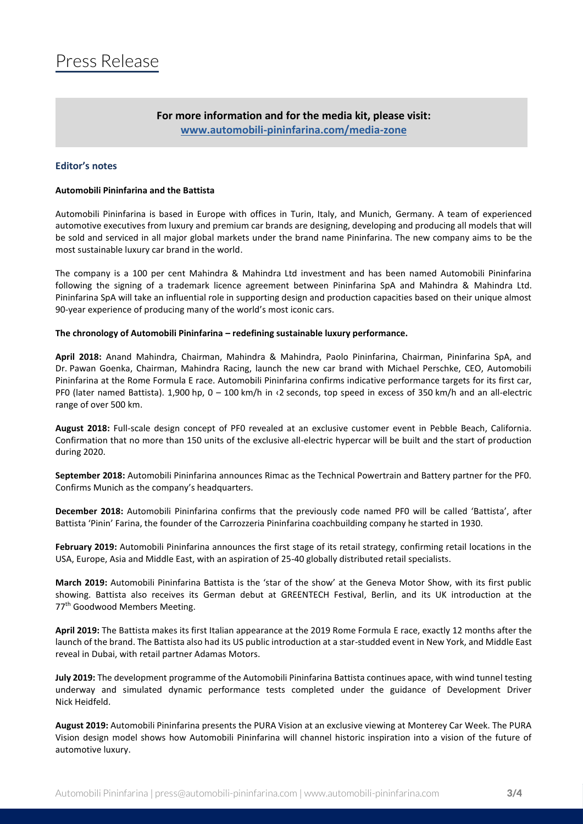### **For more information and for the media kit, please visit: [www.automobili-pininfarina.com/media-zone](http://www.automobili-pininfarina.com/media-zone)**

#### **Editor's notes**

#### **Automobili Pininfarina and the Battista**

Automobili Pininfarina is based in Europe with offices in Turin, Italy, and Munich, Germany. A team of experienced automotive executives from luxury and premium car brands are designing, developing and producing all models that will be sold and serviced in all major global markets under the brand name Pininfarina. The new company aims to be the most sustainable luxury car brand in the world.

The company is a 100 per cent Mahindra & Mahindra Ltd investment and has been named Automobili Pininfarina following the signing of a trademark licence agreement between Pininfarina SpA and Mahindra & Mahindra Ltd. Pininfarina SpA will take an influential role in supporting design and production capacities based on their unique almost 90-year experience of producing many of the world's most iconic cars.

#### **The chronology of Automobili Pininfarina – redefining sustainable luxury performance.**

**April 2018:** Anand Mahindra, Chairman, Mahindra & Mahindra, Paolo Pininfarina, Chairman, Pininfarina SpA, and Dr. Pawan Goenka, Chairman, Mahindra Racing, launch the new car brand with Michael Perschke, CEO, Automobili Pininfarina at the Rome Formula E race. Automobili Pininfarina confirms indicative performance targets for its first car, PF0 (later named Battista). 1,900 hp, 0 – 100 km/h in ‹2 seconds, top speed in excess of 350 km/h and an all-electric range of over 500 km.

**August 2018:** Full-scale design concept of PF0 revealed at an exclusive customer event in Pebble Beach, California. Confirmation that no more than 150 units of the exclusive all-electric hypercar will be built and the start of production during 2020.

**September 2018:** Automobili Pininfarina announces Rimac as the Technical Powertrain and Battery partner for the PF0. Confirms Munich as the company's headquarters.

**December 2018:** Automobili Pininfarina confirms that the previously code named PF0 will be called 'Battista', after Battista 'Pinin' Farina, the founder of the Carrozzeria Pininfarina coachbuilding company he started in 1930.

**February 2019:** Automobili Pininfarina announces the first stage of its retail strategy, confirming retail locations in the USA, Europe, Asia and Middle East, with an aspiration of 25-40 globally distributed retail specialists.

**March 2019:** Automobili Pininfarina Battista is the 'star of the show' at the Geneva Motor Show, with its first public showing. Battista also receives its German debut at GREENTECH Festival, Berlin, and its UK introduction at the 77<sup>th</sup> Goodwood Members Meeting.

**April 2019:** The Battista makes its first Italian appearance at the 2019 Rome Formula E race, exactly 12 months after the launch of the brand. The Battista also had its US public introduction at a star-studded event in New York, and Middle East reveal in Dubai, with retail partner Adamas Motors.

**July 2019:** The development programme of the Automobili Pininfarina Battista continues apace, with wind tunnel testing underway and simulated dynamic performance tests completed under the guidance of Development Driver Nick Heidfeld.

**August 2019:** Automobili Pininfarina presents the PURA Vision at an exclusive viewing at Monterey Car Week. The PURA Vision design model shows how Automobili Pininfarina will channel historic inspiration into a vision of the future of automotive luxury.